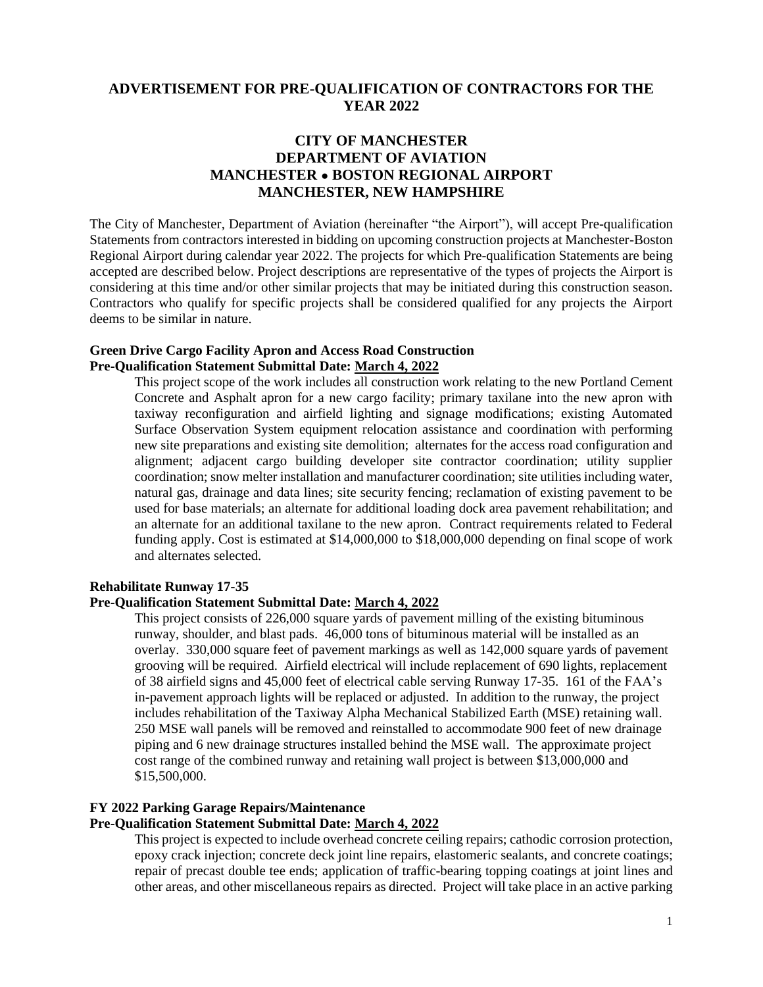# **ADVERTISEMENT FOR PRE-QUALIFICATION OF CONTRACTORS FOR THE YEAR 2022**

# **CITY OF MANCHESTER DEPARTMENT OF AVIATION MANCHESTER ● BOSTON REGIONAL AIRPORT MANCHESTER, NEW HAMPSHIRE**

The City of Manchester, Department of Aviation (hereinafter "the Airport"), will accept Pre-qualification Statements from contractors interested in bidding on upcoming construction projects at Manchester-Boston Regional Airport during calendar year 2022. The projects for which Pre-qualification Statements are being accepted are described below. Project descriptions are representative of the types of projects the Airport is considering at this time and/or other similar projects that may be initiated during this construction season. Contractors who qualify for specific projects shall be considered qualified for any projects the Airport deems to be similar in nature.

### **Green Drive Cargo Facility Apron and Access Road Construction Pre-Qualification Statement Submittal Date: March 4, 2022**

This project scope of the work includes all construction work relating to the new Portland Cement Concrete and Asphalt apron for a new cargo facility; primary taxilane into the new apron with taxiway reconfiguration and airfield lighting and signage modifications; existing Automated Surface Observation System equipment relocation assistance and coordination with performing new site preparations and existing site demolition; alternates for the access road configuration and alignment; adjacent cargo building developer site contractor coordination; utility supplier coordination; snow melter installation and manufacturer coordination; site utilities including water, natural gas, drainage and data lines; site security fencing; reclamation of existing pavement to be used for base materials; an alternate for additional loading dock area pavement rehabilitation; and an alternate for an additional taxilane to the new apron. Contract requirements related to Federal funding apply. Cost is estimated at \$14,000,000 to \$18,000,000 depending on final scope of work and alternates selected.

### **Rehabilitate Runway 17-35**

## **Pre-Qualification Statement Submittal Date: March 4, 2022**

This project consists of 226,000 square yards of pavement milling of the existing bituminous runway, shoulder, and blast pads. 46,000 tons of bituminous material will be installed as an overlay. 330,000 square feet of pavement markings as well as 142,000 square yards of pavement grooving will be required. Airfield electrical will include replacement of 690 lights, replacement of 38 airfield signs and 45,000 feet of electrical cable serving Runway 17-35. 161 of the FAA's in-pavement approach lights will be replaced or adjusted. In addition to the runway, the project includes rehabilitation of the Taxiway Alpha Mechanical Stabilized Earth (MSE) retaining wall. 250 MSE wall panels will be removed and reinstalled to accommodate 900 feet of new drainage piping and 6 new drainage structures installed behind the MSE wall. The approximate project cost range of the combined runway and retaining wall project is between \$13,000,000 and \$15,500,000.

#### **FY 2022 Parking Garage Repairs/Maintenance**

### **Pre-Qualification Statement Submittal Date: March 4, 2022**

This project is expected to include overhead concrete ceiling repairs; cathodic corrosion protection, epoxy crack injection; concrete deck joint line repairs, elastomeric sealants, and concrete coatings; repair of precast double tee ends; application of traffic-bearing topping coatings at joint lines and other areas, and other miscellaneous repairs as directed. Project will take place in an active parking